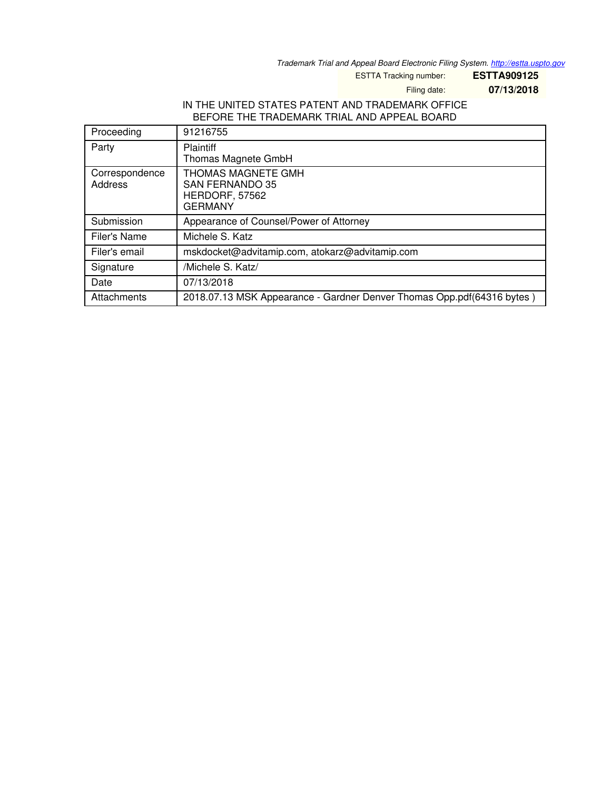*Trademark Trial and Appeal Board Electronic Filing System. <http://estta.uspto.gov>*

ESTTA Tracking number: **ESTTA909125**

Filing date: **07/13/2018**

## IN THE UNITED STATES PATENT AND TRADEMARK OFFICE BEFORE THE TRADEMARK TRIAL AND APPEAL BOARD

| Proceeding     | 91216755                                                               |
|----------------|------------------------------------------------------------------------|
| Party          | <b>Plaintiff</b>                                                       |
|                | Thomas Magnete GmbH                                                    |
| Correspondence | THOMAS MAGNETE GMH                                                     |
| Address        | <b>SAN FERNANDO 35</b>                                                 |
|                | HERDORF, 57562                                                         |
|                | <b>GERMANY</b>                                                         |
| Submission     | Appearance of Counsel/Power of Attorney                                |
| Filer's Name   | Michele S. Katz                                                        |
| Filer's email  | mskdocket@advitamip.com, atokarz@advitamip.com                         |
| Signature      | /Michele S. Katz/                                                      |
| Date           | 07/13/2018                                                             |
| Attachments    | 2018.07.13 MSK Appearance - Gardner Denver Thomas Opp.pdf(64316 bytes) |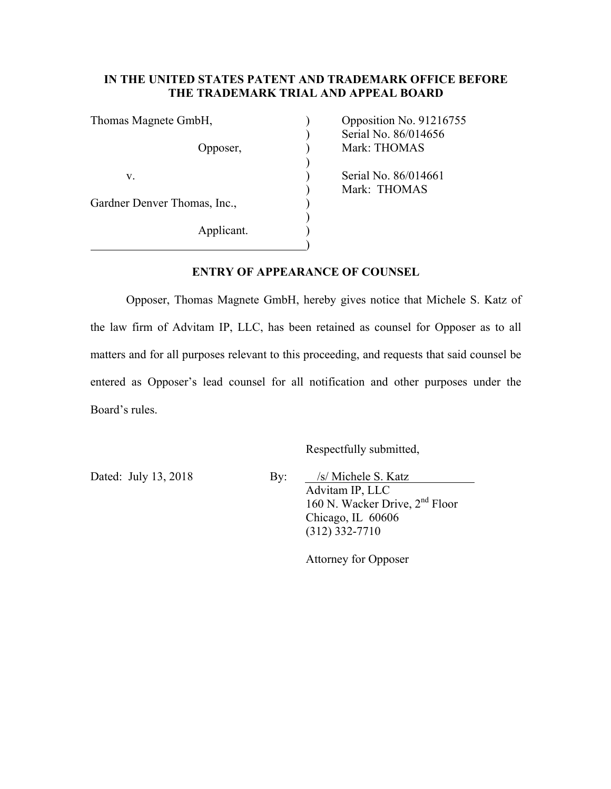## **IN THE UNITED STATES PATENT AND TRADEMARK OFFICE BEFORE THE TRADEMARK TRIAL AND APPEAL BOARD**

| Thomas Magnete GmbH,         |  |
|------------------------------|--|
|                              |  |
| Opposer,                     |  |
|                              |  |
| V.                           |  |
|                              |  |
| Gardner Denver Thomas, Inc., |  |
|                              |  |
| Applicant.                   |  |
|                              |  |

Opposition No.  $91216755$ ) Serial No. 86/014656 Mark: THOMAS Serial No. 86/014661 ) Mark: THOMAS

## **ENTRY OF APPEARANCE OF COUNSEL**

Opposer, Thomas Magnete GmbH, hereby gives notice that Michele S. Katz of the law firm of Advitam IP, LLC, has been retained as counsel for Opposer as to all matters and for all purposes relevant to this proceeding, and requests that said counsel be entered as Opposer's lead counsel for all notification and other purposes under the Board's rules.

Respectfully submitted,

Dated: July 13, 2018 By: /s/ Michele S. Katz Advitam IP, LLC 160 N. Wacker Drive, 2<sup>nd</sup> Floor Chicago, IL 60606 (312) 332-7710

Attorney for Opposer